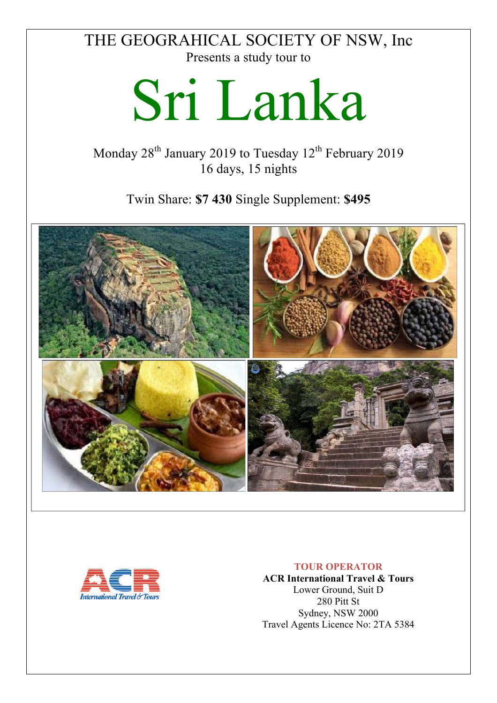# THE GEOGRAHICAL SOCIETY OF NSW, Inc Presents a study tour to

# Sri Lanka

Monday  $28<sup>th</sup>$  January 2019 to Tuesday  $12<sup>th</sup>$  February 2019 16 days, 15 nights

Twin Share: **\$7 430** Single Supplement: **\$495**





#### **TOUR OPERATOR**

**ACR International Travel & Tours** Lower Ground, Suit D 280 Pitt St Sydney, NSW 2000 Travel Agents Licence No: 2TA 5384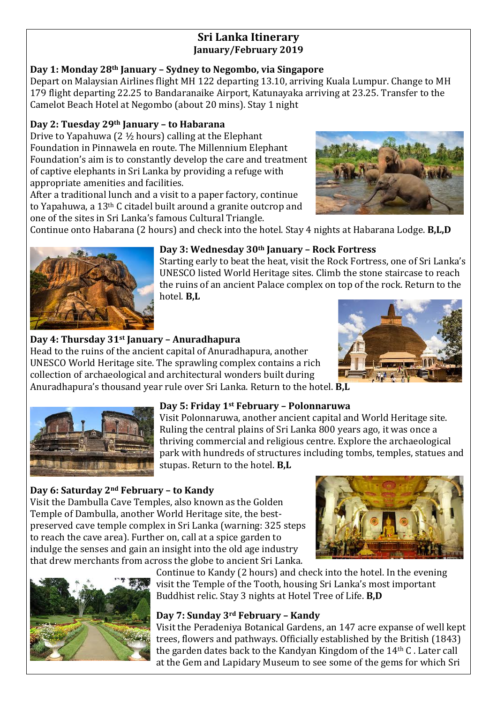# **Sri Lanka Itinerary January/February 2019**

# **Day 1: Monday 28th January – Sydney to Negombo, via Singapore**

Depart on Malaysian Airlines flight MH 122 departing 13.10, arriving Kuala Lumpur. Change to MH 179 flight departing 22.25 to Bandaranaike Airport, Katunayaka arriving at 23.25. Transfer to the Camelot Beach Hotel at Negombo (about 20 mins). Stay 1 night

# **Day 2: Tuesday 29th January – to Habarana**

Drive to Yapahuwa  $(2<sup>1</sup>/<sub>2</sub> hours)$  calling at the Elephant Foundation in Pinnawela en route. The Millennium Elephant Foundation's aim is to constantly develop the care and treatment of captive elephants in Sri Lanka by providing a refuge with appropriate amenities and facilities.

After a traditional lunch and a visit to a paper factory, continue to Yapahuwa, a  $13<sup>th</sup>$  C citadel built around a granite outcrop and one of the sites in Sri Lanka's famous Cultural Triangle.



Continue onto Habarana (2 hours) and check into the hotel. Stay 4 nights at Habarana Lodge. **B,L,D** 



#### **Day 3: Wednesday 30th January – Rock Fortress**

Starting early to beat the heat, visit the Rock Fortress, one of Sri Lanka's UNESCO listed World Heritage sites. Climb the stone staircase to reach the ruins of an ancient Palace complex on top of the rock. Return to the hotel. **B,L**

# **Day 4: Thursday 31st January – Anuradhapura**

Head to the ruins of the ancient capital of Anuradhapura, another UNESCO World Heritage site. The sprawling complex contains a rich collection of archaeological and architectural wonders built during Anuradhapura's thousand year rule over Sri Lanka. Return to the hotel. **B,L** 





# **Day 5: Friday 1st February – Polonnaruwa**

Visit Polonnaruwa, another ancient capital and World Heritage site. Ruling the central plains of Sri Lanka 800 years ago, it was once a thriving commercial and religious centre. Explore the archaeological park with hundreds of structures including tombs, temples, statues and stupas. Return to the hotel. **B.L** 

### **Day 6: Saturday 2nd February – to Kandy**

Visit the Dambulla Cave Temples, also known as the Golden Temple of Dambulla, another World Heritage site, the bestpreserved cave temple complex in Sri Lanka (warning: 325 steps) to reach the cave area). Further on, call at a spice garden to indulge the senses and gain an insight into the old age industry that drew merchants from across the globe to ancient Sri Lanka.





Continue to Kandy (2 hours) and check into the hotel. In the evening visit the Temple of the Tooth, housing Sri Lanka's most important Buddhist relic. Stay 3 nights at Hotel Tree of Life. **B,D** 

# **Day 7: Sunday 3rd February – Kandy**

Visit the Peradeniya Botanical Gardens, an 147 acre expanse of well kept trees, flowers and pathways. Officially established by the British (1843) the garden dates back to the Kandyan Kingdom of the  $14<sup>th</sup>$  C. Later call at the Gem and Lapidary Museum to see some of the gems for which Sri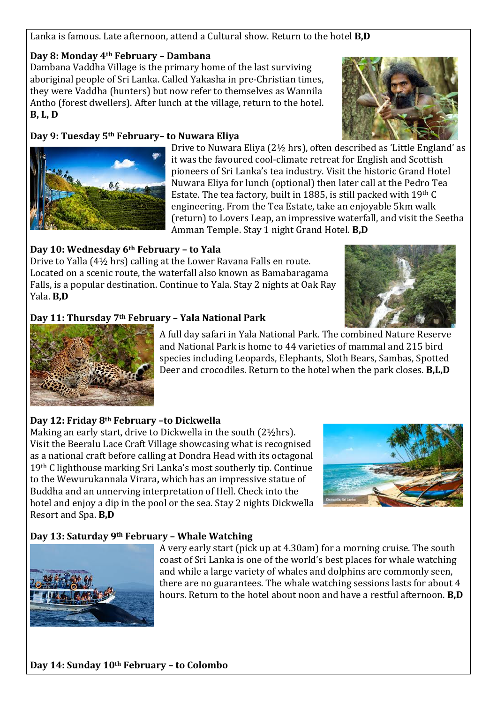#### Lanka is famous. Late afternoon, attend a Cultural show. Return to the hotel **B,D**

#### **Day 8: Monday 4th February – Dambana**

Dambana Vaddha Village is the primary home of the last surviving aboriginal people of Sri Lanka. Called Yakasha in pre-Christian times, they were Vaddha (hunters) but now refer to themselves as Wannila Antho (forest dwellers). After lunch at the village, return to the hotel. **B, L, D**

#### **Day 9: Tuesday 5th February– to Nuwara Eliya**





Drive to Nuwara Eliya ( $2\frac{1}{2}$  hrs), often described as 'Little England' as it was the favoured cool-climate retreat for English and Scottish pioneers of Sri Lanka's tea industry. Visit the historic Grand Hotel Nuwara Eliya for lunch (optional) then later call at the Pedro Tea Estate. The tea factory, built in 1885, is still packed with  $19<sup>th</sup>$  C engineering. From the Tea Estate, take an enjoyable 5km walk (return) to Lovers Leap, an impressive waterfall, and visit the Seetha Amman Temple. Stay 1 night Grand Hotel. **B,D** 

#### **Day 10: Wednesday 6th February – to Yala**

Drive to Yalla  $(4\frac{1}{2}$  hrs) calling at the Lower Ravana Falls en route. Located on a scenic route, the waterfall also known as Bamabaragama Falls, is a popular destination. Continue to Yala. Stay 2 nights at Oak Ray Yala. **B,D** 



A full day safari in Yala National Park. The combined Nature Reserve and National Park is home to 44 varieties of mammal and 215 bird species including Leopards, Elephants, Sloth Bears, Sambas, Spotted Deer and crocodiles. Return to the hotel when the park closes. **B,L,D** 

### **Day 12: Friday 8th February –to Dickwella**

Making an early start, drive to Dickwella in the south  $(2\frac{1}{2}hrs)$ . Visit the Beeralu Lace Craft Village showcasing what is recognised as a national craft before calling at Dondra Head with its octagonal 19<sup>th</sup> C lighthouse marking Sri Lanka's most southerly tip. Continue to the Wewurukannala Virara, which has an impressive statue of Buddha and an unnerving interpretation of Hell. Check into the hotel and enjoy a dip in the pool or the sea. Stay 2 nights Dickwella Resort and Spa. **B,D** 



### **Day 13: Saturday 9th February – Whale Watching**



A very early start (pick up at 4.30am) for a morning cruise. The south coast of Sri Lanka is one of the world's best places for whale watching and while a large variety of whales and dolphins are commonly seen, there are no guarantees. The whale watching sessions lasts for about 4 hours. Return to the hotel about noon and have a restful afternoon. **B,D**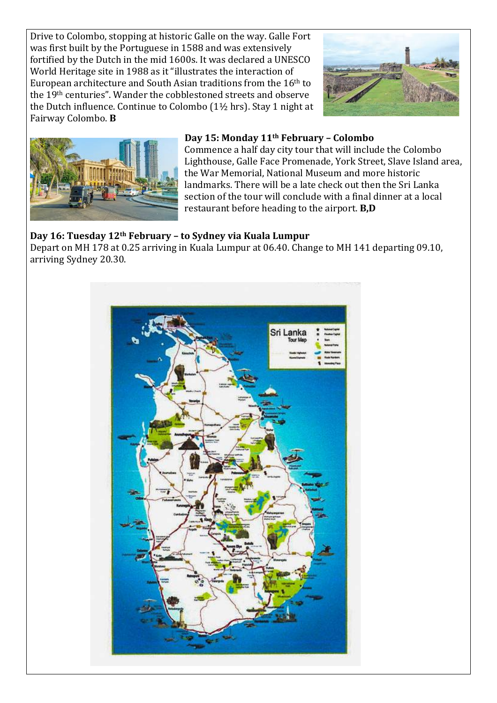Drive to Colombo, stopping at historic Galle on the way. Galle Fort was first built by the Portuguese in 1588 and was extensively fortified by the Dutch in the mid 1600s. It was declared a UNESCO World Heritage site in 1988 as it "illustrates the interaction of European architecture and South Asian traditions from the  $16<sup>th</sup>$  to the 19<sup>th</sup> centuries". Wander the cobblestoned streets and observe the Dutch influence. Continue to Colombo  $(1\frac{1}{2}$  hrs). Stay 1 night at Fairway Colombo. **B**





#### **Day 15: Monday 11th February – Colombo**

Commence a half day city tour that will include the Colombo Lighthouse, Galle Face Promenade, York Street, Slave Island area, the War Memorial, National Museum and more historic landmarks. There will be a late check out then the Sri Lanka section of the tour will conclude with a final dinner at a local restaurant before heading to the airport. **B.D** 

#### **Day 16: Tuesday 12th February – to Sydney via Kuala Lumpur**

Depart on MH 178 at 0.25 arriving in Kuala Lumpur at 06.40. Change to MH 141 departing 09.10, arriving Sydney 20.30.